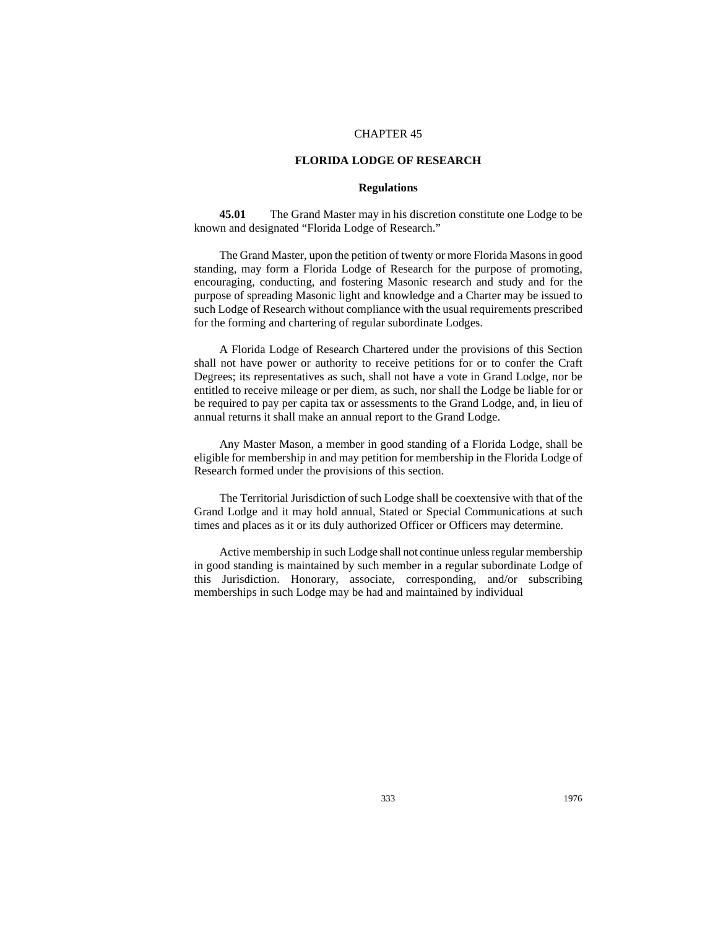## CHAPTER 45

## **FLORIDA LODGE OF RESEARCH**

## **Regulations**

**45.01** The Grand Master may in his discretion constitute one Lodge to be known and designated "Florida Lodge of Research."

The Grand Master, upon the petition of twenty or more Florida Masons in good standing, may form a Florida Lodge of Research for the purpose of promoting, encouraging, conducting, and fostering Masonic research and study and for the purpose of spreading Masonic light and knowledge and a Charter may be issued to such Lodge of Research without compliance with the usual requirements prescribed for the forming and chartering of regular subordinate Lodges.

A Florida Lodge of Research Chartered under the provisions of this Section shall not have power or authority to receive petitions for or to confer the Craft Degrees; its representatives as such, shall not have a vote in Grand Lodge, nor be entitled to receive mileage or per diem, as such, nor shall the Lodge be liable for or be required to pay per capita tax or assessments to the Grand Lodge, and, in lieu of annual returns it shall make an annual report to the Grand Lodge.

Any Master Mason, a member in good standing of a Florida Lodge, shall be eligible for membership in and may petition for membership in the Florida Lodge of Research formed under the provisions of this section.

The Territorial Jurisdiction of such Lodge shall be coextensive with that of the Grand Lodge and it may hold annual, Stated or Special Communications at such times and places as it or its duly authorized Officer or Officers may determine.

Active membership in such Lodge shall not continue unless regular membership in good standing is maintained by such member in a regular subordinate Lodge of this Jurisdiction. Honorary, associate, corresponding, and/or subscribing memberships in such Lodge may be had and maintained by individual